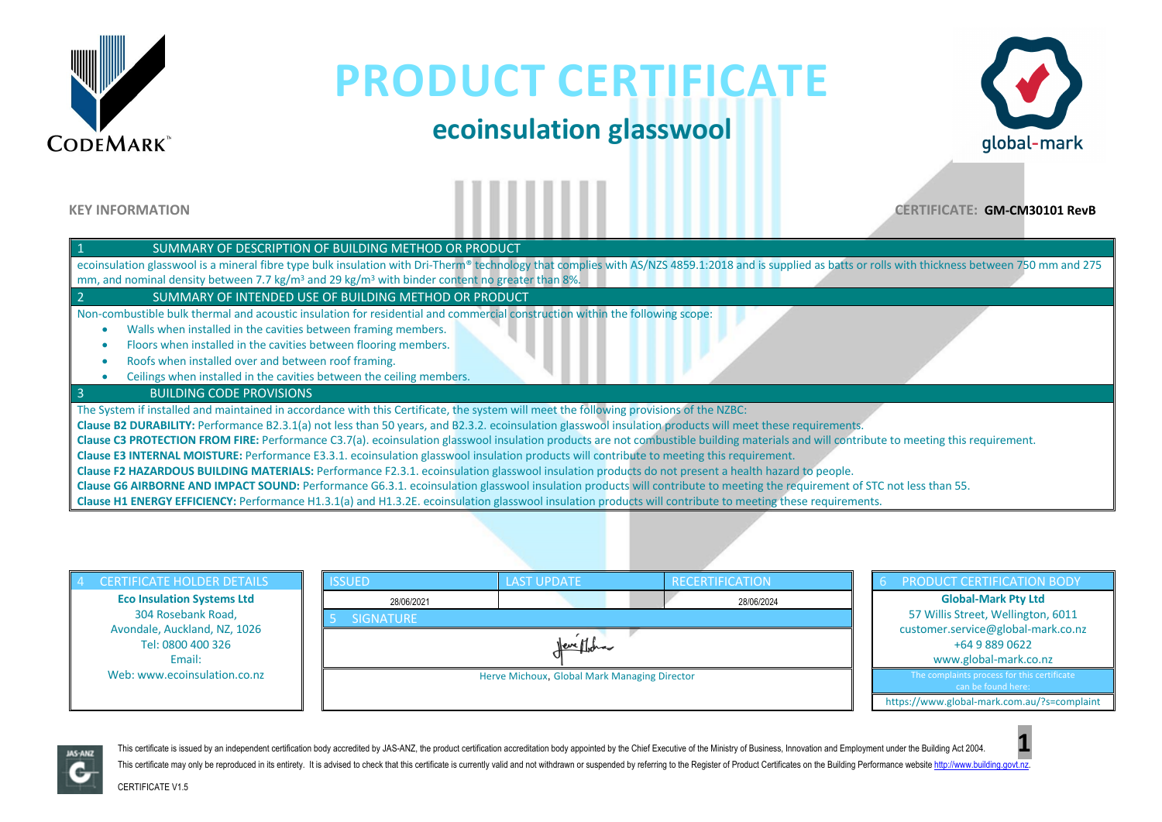

### **ecoinsulation glasswool**



**KEY INFORMATION CERTIFICATE: GM-CM30101 RevB**

| SUMMARY OF DESCRIPTION OF BUILDING METHOD OR PRODUCT                                                                                                                                                     |
|----------------------------------------------------------------------------------------------------------------------------------------------------------------------------------------------------------|
| ecoinsulation glasswool is a mineral fibre type bulk insulation with Dri-Therm® technology that complies with AS/NZS 4859.1:2018 and is supplied as batts or rolls with thickness between 750 mm and 275 |
| mm, and nominal density between 7.7 kg/m <sup>3</sup> and 29 kg/m <sup>3</sup> with binder content no greater than 8%.                                                                                   |
| SUMMARY OF INTENDED USE OF BUILDING METHOD OR PRODUCT                                                                                                                                                    |
| Non-combustible bulk thermal and acoustic insulation for residential and commercial construction within the following scope:                                                                             |
| Walls when installed in the cavities between framing members.                                                                                                                                            |
| Floors when installed in the cavities between flooring members.                                                                                                                                          |
| Roofs when installed over and between roof framing.                                                                                                                                                      |
| Ceilings when installed in the cavities between the ceiling members.                                                                                                                                     |
| <b>BUILDING CODE PROVISIONS</b>                                                                                                                                                                          |
| The System if installed and maintained in accordance with this Certificate, the system will meet the following provisions of the NZBC:                                                                   |
| Clause B2 DURABILITY: Performance B2.3.1(a) not less than 50 years, and B2.3.2. ecoinsulation glasswool insulation products will meet these requirements.                                                |
| Clause C3 PROTECTION FROM FIRE: Performance C3.7(a). ecoinsulation glasswool insulation products are not combustible building materials and will contribute to meeting this requirement.                 |
| Clause E3 INTERNAL MOISTURE: Performance E3.3.1. ecoinsulation glasswool insulation products will contribute to meeting this requirement.                                                                |
| Clause F2 HAZARDOUS BUILDING MATERIALS: Performance F2.3.1. ecoinsulation glasswool insulation products do not present a health hazard to people.                                                        |
| Clause G6 AIRBORNE AND IMPACT SOUND: Performance G6.3.1. ecoinsulation glasswool insulation products will contribute to meeting the requirement of STC not less than 55.                                 |
| Clause H1 ENERGY EFFICIENCY: Performance H1.3.1(a) and H1.3.2E. ecoinsulation glasswool insulation products will contribute to meeting these requirements.                                               |

| <b>CERTIFICATE HOLDER DETAILS</b>                 | <b>ISSUED</b>    | <b>LAST UPDATE</b>                           | RECERTIFICATION | <b>PRODUCT CERTIFICATION BODY</b>                                 |  |
|---------------------------------------------------|------------------|----------------------------------------------|-----------------|-------------------------------------------------------------------|--|
| <b>Eco Insulation Systems Ltd</b>                 | 28/06/2021       |                                              | 28/06/2024      | <b>Global-Mark Pty Ltd</b>                                        |  |
| 304 Rosebank Road,                                | <b>SIGNATURE</b> |                                              |                 | 57 Willis Street, Wellington, 6011                                |  |
| Avondale, Auckland, NZ, 1026<br>Tel: 0800 400 326 |                  | <u>Vereffiche</u>                            |                 | customer.service@global-mark.co.nz<br>+64 9 889 0622              |  |
| Email:                                            |                  |                                              |                 | www.global-mark.co.nz                                             |  |
| Web: www.ecoinsulation.co.nz                      |                  | Herve Michoux, Global Mark Managing Director |                 | The complaints process for this certificate<br>can be found here: |  |
|                                                   |                  |                                              |                 | https://www.global-mark.com.au/?s=complaint                       |  |



This certificate is issued by an independent certification body accredited by JAS-ANZ, the product certification accreditation body appointed by the Chief Executive of the Ministry of Business, Innovation and Employment un This certificate may only be reproduced in its entirety. It is advised to check that this certificate is currently valid and not withdrawn or suspended by referring to the Register of Product Certificates on the Building P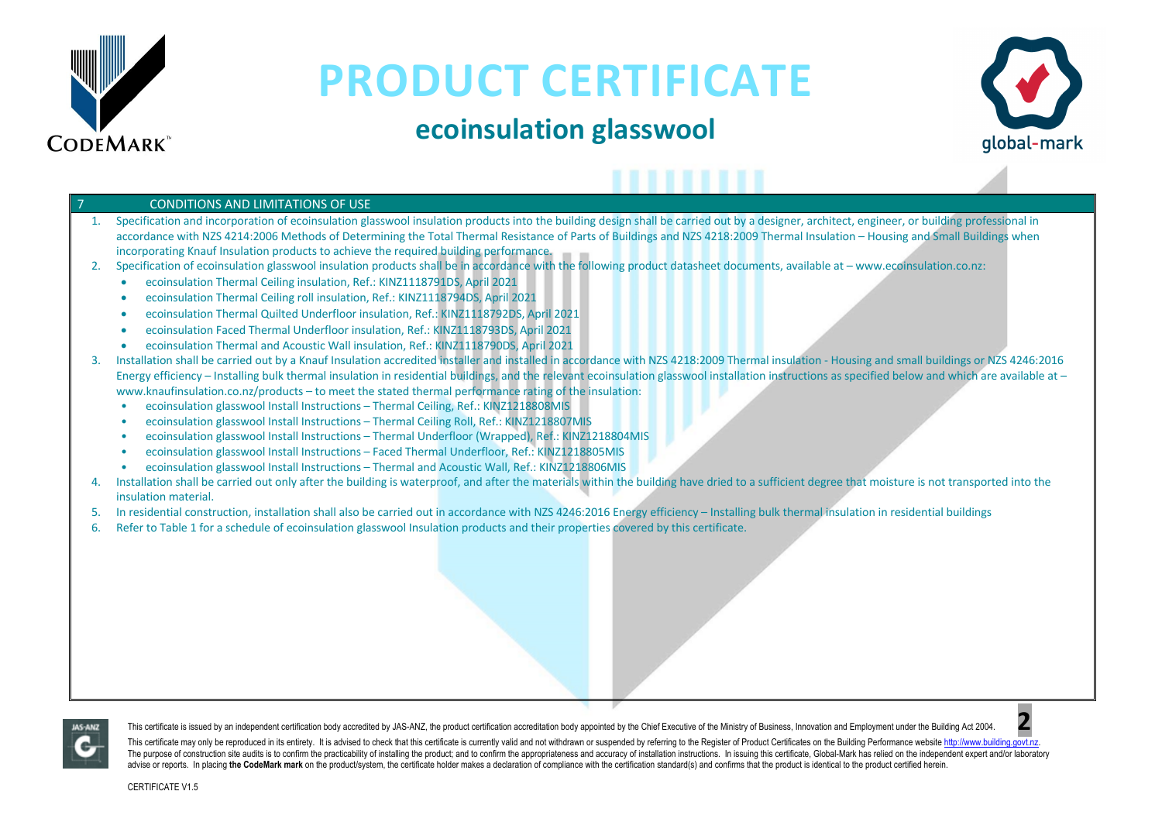

### **ecoinsulation glasswool**



#### **CONDITIONS AND LIMITATIONS OF USE**

- 1. Specification and incorporation of ecoinsulation glasswool insulation products into the building design shall be carried out by a designer, architect, engineer, or building professional in accordance with NZS 4214:2006 Methods of Determining the Total Thermal Resistance of Parts of Buildings and NZS 4218:2009 Thermal Insulation – Housing and Small Buildings when incorporating Knauf Insulation products to achieve the required building performance.
- 2. Specification of ecoinsulation glasswool insulation products shall be in accordance with the following product datasheet documents, available at www.ecoinsulation.co.nz:
	- ecoinsulation Thermal Ceiling insulation, Ref.: KINZ1118791DS, April 2021
	- ecoinsulation Thermal Ceiling roll insulation, Ref.: KINZ1118794DS, April 2021
	- ecoinsulation Thermal Quilted Underfloor insulation, Ref.: KINZ1118792DS, April 2021
	- ecoinsulation Faced Thermal Underfloor insulation, Ref.: KINZ1118793DS, April 2021
	- ecoinsulation Thermal and Acoustic Wall insulation, Ref.: KINZ1118790DS, April 2021
- 3. Installation shall be carried out by a Knauf Insulation accredited installer and installed in accordance with NZS 4218:2009 Thermal insulation Housing and small buildings or NZS 4246:2016 Energy efficiency – Installing bulk thermal insulation in residential buildings, and the relevant ecoinsulation glasswool installation instructions as specified below and which are available at – www.knaufinsulation.co.nz/products – to meet the stated thermal performance rating of the insulation:
	- ecoinsulation glasswool Install Instructions Thermal Ceiling, Ref.: KINZ1218808MIS
	- ecoinsulation glasswool Install Instructions Thermal Ceiling Roll, Ref.: KINZ1218807MIS
	- ecoinsulation glasswool Install Instructions Thermal Underfloor (Wrapped), Ref.: KINZ1218804MIS
	- ecoinsulation glasswool Install Instructions Faced Thermal Underfloor, Ref.: KINZ1218805MIS
	- ecoinsulation glasswool Install Instructions Thermal and Acoustic Wall, Ref.: KINZ1218806MIS
- Installation shall be carried out only after the building is waterproof, and after the materials within the building have dried to a sufficient degree that moisture is not transported into the insulation material.
- 5. In residential construction, installation shall also be carried out in accordance with NZS 4246:2016 Energy efficiency Installing bulk thermal insulation in residential buildings
- 6. Refer to Table 1 for a schedule of ecoinsulation glasswool Insulation products and their properties covered by this certificate.



This certificate is issued by an independent certification body accredited by JAS-ANZ, the product certification accreditation body appointed by the Chief Executive of the Ministry of Business, Innovation and Employment un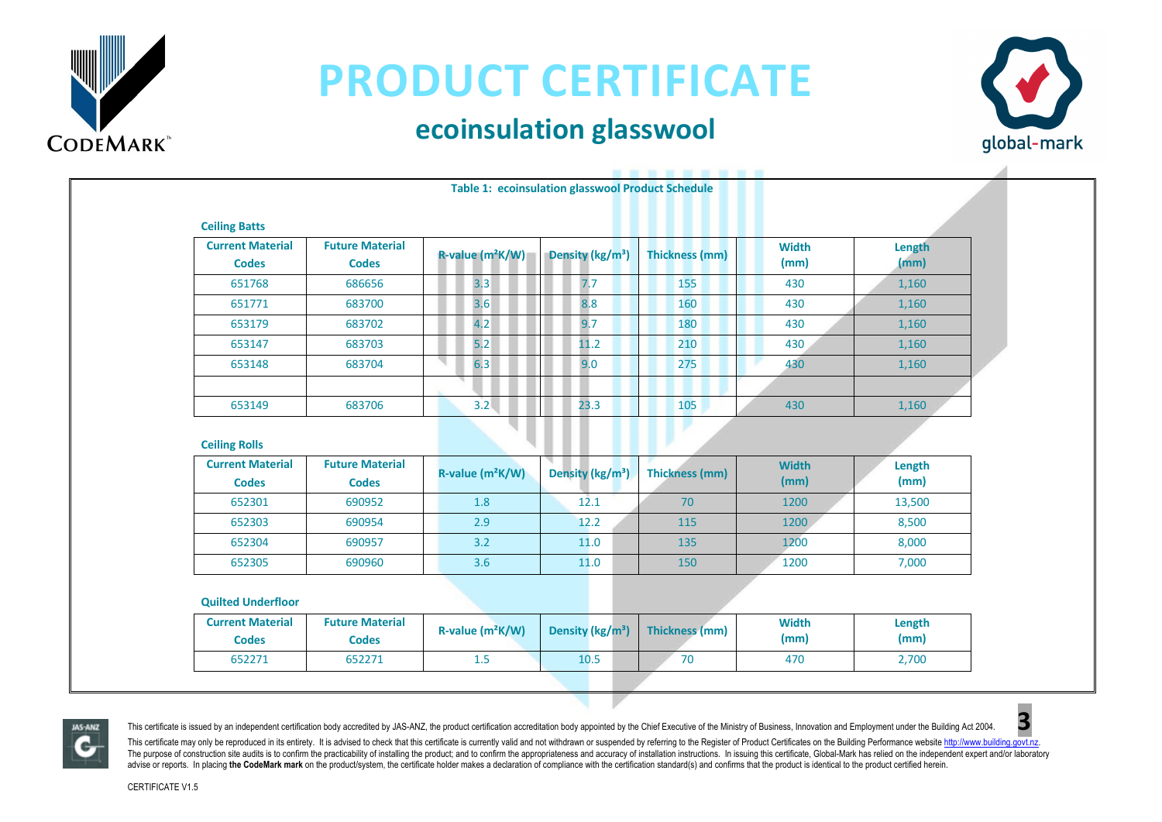

### **ecoinsulation glasswool**



| <b>Ceiling Batts</b>                    |                                        |                              |                              |                       |                      |                |
|-----------------------------------------|----------------------------------------|------------------------------|------------------------------|-----------------------|----------------------|----------------|
| <b>Current Material</b><br><b>Codes</b> | <b>Future Material</b><br><b>Codes</b> | R-value (m <sup>2</sup> K/W) | Density (kg/m <sup>3</sup> ) | <b>Thickness (mm)</b> | <b>Width</b><br>(mm) | Length<br>(mm) |
| 651768                                  | 686656                                 | 3.3                          | 7.7                          | 155                   | 430                  | 1,160          |
| 651771                                  | 683700                                 | 3.6                          | 8.8                          | 160                   | 430                  | 1,160          |
| 653179                                  | 683702                                 | 4.2                          | 9.7                          | 180                   | 430                  | 1,160          |
| 653147                                  | 683703                                 | 5.2                          | 11.2                         | 210                   | 430                  | 1,160          |
| 653148                                  | 683704                                 | 6.3                          | 9.0                          | 275                   | 430                  | 1,160          |
| 653149                                  | 683706                                 | 3.2                          | 23.3                         | 105                   | 430                  | 1,160          |

| <b>Current Material</b> | <b>Future Material</b> | $R$ -value (m <sup>2</sup> K/W) | Density (kg/m <sup>3</sup> ) | Thickness (mm) | <b>Width</b> | Length |
|-------------------------|------------------------|---------------------------------|------------------------------|----------------|--------------|--------|
| <b>Codes</b>            | <b>Codes</b>           |                                 |                              |                | (mm)         | (mm)   |
| 652301                  | 690952                 | 1.8                             | 12.1                         | 70             | 1200         | 13,500 |
| 652303                  | 690954                 | 2.9                             | 12.2                         | 115            | 1200         | 8,500  |
| 652304                  | 690957                 | 3.2                             | 11.0                         | 135            | 1200         | 8,000  |
| 652305                  | 690960                 | 3.6                             | 11.0                         | 150            | 1200         | 7,000  |

#### **Quilted Underfloor**

| <b>Current Material</b><br><b>Codes</b> | <b>Future Material</b><br>Codes | $R$ -value $(m^2K/W)$ | Density ( $\frac{kg}{m^3}$ ) | Thickness (mm) | <b>Width</b><br>(mm) | Length<br>(mm) |
|-----------------------------------------|---------------------------------|-----------------------|------------------------------|----------------|----------------------|----------------|
| 652271                                  | 652271                          | ر 1                   | 10.5                         | 70             | 470                  | 2,700          |



This certificate is issued by an independent certification body accredited by JAS-ANZ, the product certification accreditation body appointed by the Chief Executive of the Ministry of Business, Innovation and Employment un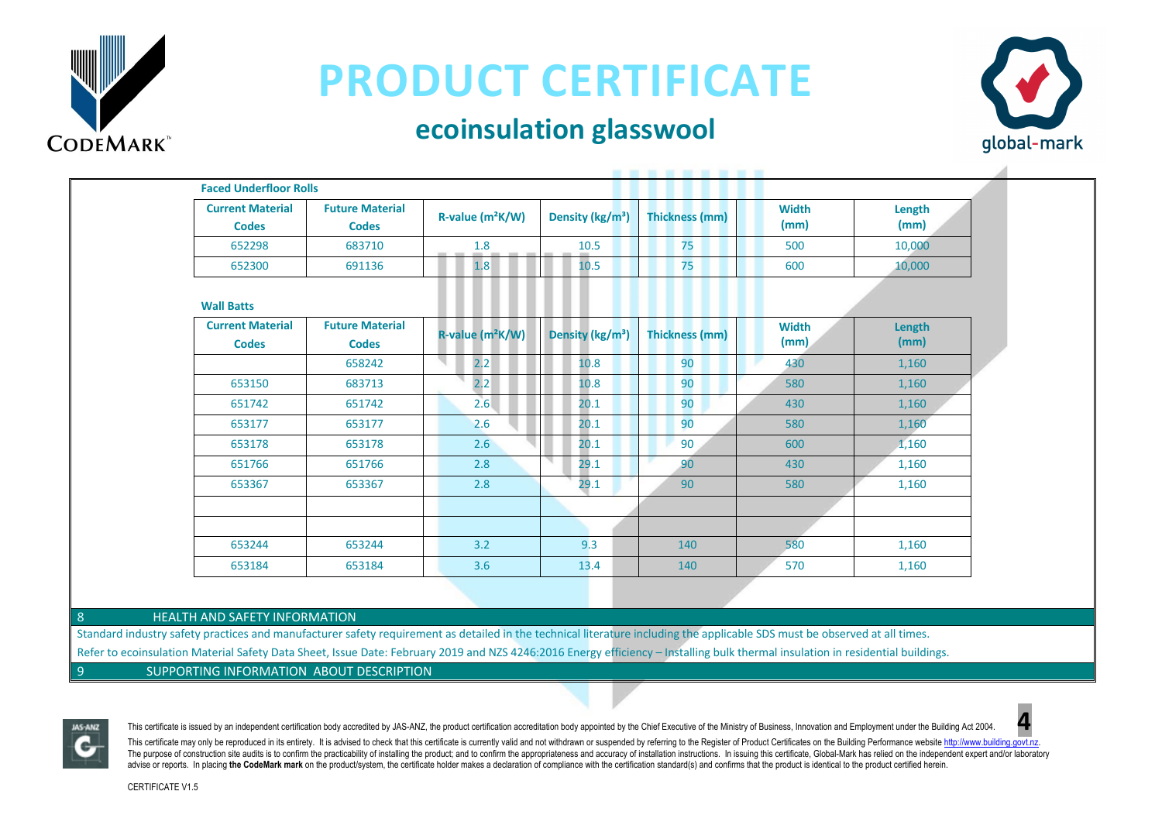

#### **ecoinsulation glasswool**



| <b>Current Material</b><br><b>Codes</b> | <b>Future Material</b><br><b>Codes</b> | R-value (m <sup>2</sup> K/W) | Density (kg/m <sup>3</sup> ) | <b>Thickness (mm)</b> | <b>Width</b><br>(mm) | Length<br>(mm) |
|-----------------------------------------|----------------------------------------|------------------------------|------------------------------|-----------------------|----------------------|----------------|
| 652298                                  | 683710                                 | 1.8                          | 10.5                         | 75                    | 500                  | 10,000         |
| 652300                                  | 691136                                 | 1.8                          | 10.5                         | 75                    | 600                  | 10,000         |
| <b>Wall Batts</b>                       |                                        |                              |                              |                       |                      |                |
| <b>Current Material</b><br><b>Codes</b> | <b>Future Material</b><br><b>Codes</b> | R-value (m <sup>2</sup> K/W) | Density (kg/m <sup>3</sup> ) | <b>Thickness (mm)</b> | <b>Width</b><br>(mm) | Length<br>(mm) |
|                                         | 658242                                 | ч<br>2.2                     | 10.8                         | 90                    | 430                  | 1,160          |
| 653150                                  | 683713                                 | 2.2                          | 10.8                         | 90                    | 580                  | 1,160          |
| 651742                                  | 651742                                 | 2.6                          | 20.1                         | 90                    | 430                  | 1,160          |
| 653177                                  | 653177                                 | 2.6                          | 20.1                         | 90                    | 580                  | 1,160          |
| 653178                                  | 653178                                 | 2.6                          | 20.1                         | 90                    | 600                  | 1,160          |
| 651766                                  | 651766                                 | 2.8                          | 29.1                         | 90                    | 430                  | 1,160          |
| 653367                                  | 653367                                 | 2.8                          | 29.1                         | 90                    | 580                  | 1,160          |
|                                         |                                        |                              |                              |                       |                      |                |
|                                         |                                        |                              |                              |                       |                      |                |
| 653244                                  | 653244                                 | 3.2                          | 9.3                          | 140                   | 580                  | 1,160          |
| 653184                                  | 653184                                 | 3.6                          | 13.4                         | 140                   | 570                  | 1,160          |

8 **HEALTH AND SAFETY INFORMATION** 

Standard industry safety practices and manufacturer safety requirement as detailed in the technical literature including the applicable SDS must be observed at all times. Refer to ecoinsulation Material Safety Data Sheet, Issue Date: February 2019 and NZS 4246:2016 Energy efficiency – Installing bulk thermal insulation in residential buildings.

9 SUPPORTING INFORMATION ABOUT DESCRIPTION



This certificate is issued by an independent certification body accredited by JAS-ANZ, the product certification accreditation body appointed by the Chief Executive of the Ministry of Business, Innovation and Employment un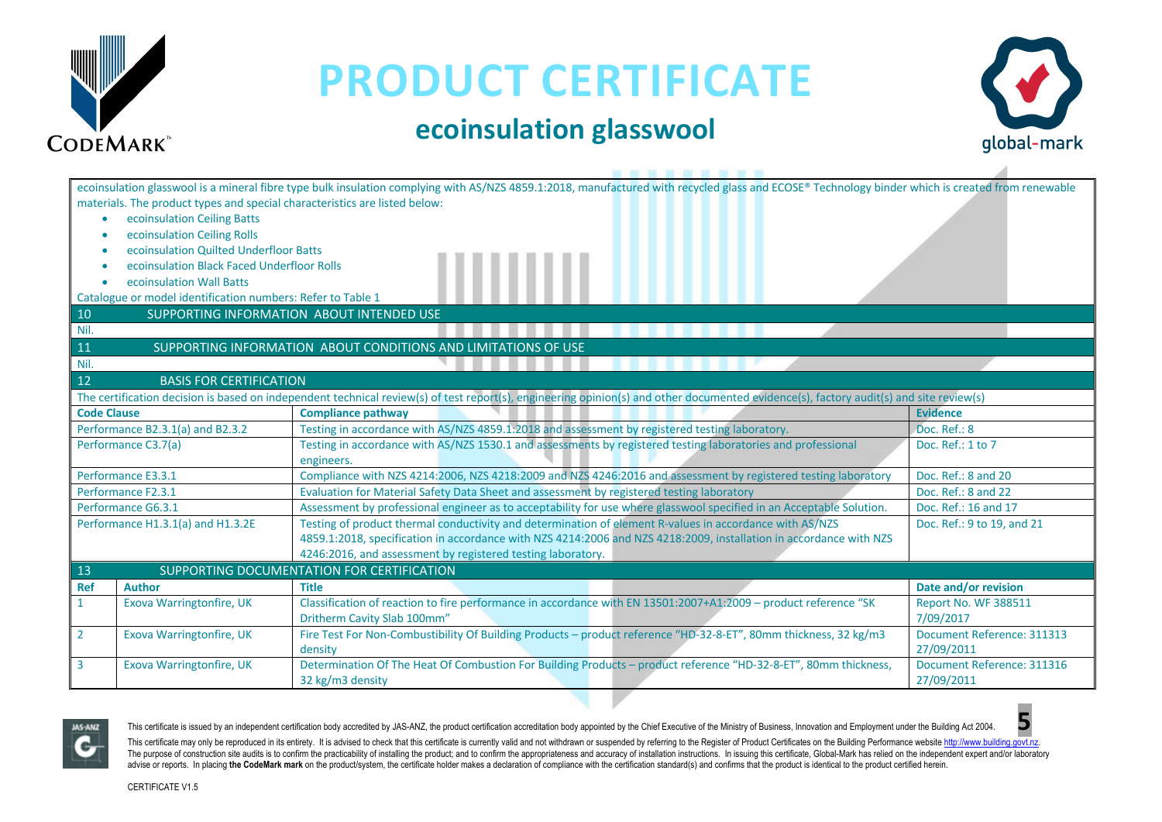

#### **ecoinsulation glasswool**



|                    | materials. The product types and special characteristics are listed below: | ecoinsulation glasswool is a mineral fibre type bulk insulation complying with AS/NZS 4859.1:2018, manufactured with recycled glass and ECOSE® Technology binder which is created from renewable |                            |
|--------------------|----------------------------------------------------------------------------|--------------------------------------------------------------------------------------------------------------------------------------------------------------------------------------------------|----------------------------|
|                    |                                                                            |                                                                                                                                                                                                  |                            |
| ۰                  | ecoinsulation Ceiling Batts                                                |                                                                                                                                                                                                  |                            |
|                    | ecoinsulation Ceiling Rolls                                                |                                                                                                                                                                                                  |                            |
|                    | ecoinsulation Quilted Underfloor Batts                                     |                                                                                                                                                                                                  |                            |
|                    | ecoinsulation Black Faced Underfloor Rolls                                 |                                                                                                                                                                                                  |                            |
|                    | ecoinsulation Wall Batts                                                   |                                                                                                                                                                                                  |                            |
|                    | Catalogue or model identification numbers: Refer to Table 1                |                                                                                                                                                                                                  |                            |
| 10                 |                                                                            | SUPPORTING INFORMATION ABOUT INTENDED USE                                                                                                                                                        |                            |
| Nil.               |                                                                            |                                                                                                                                                                                                  |                            |
| 11                 |                                                                            | SUPPORTING INFORMATION ABOUT CONDITIONS AND LIMITATIONS OF USE                                                                                                                                   |                            |
| Nil.               |                                                                            |                                                                                                                                                                                                  |                            |
| 12                 | <b>BASIS FOR CERTIFICATION</b>                                             |                                                                                                                                                                                                  |                            |
|                    |                                                                            | The certification decision is based on independent technical review(s) of test report(s), engineering opinion(s) and other documented evidence(s), factory audit(s) and site review(s)           |                            |
| <b>Code Clause</b> |                                                                            | <b>Compliance pathway</b>                                                                                                                                                                        | <b>Evidence</b>            |
|                    | Performance B2.3.1(a) and B2.3.2                                           | Testing in accordance with AS/NZS 4859.1:2018 and assessment by registered testing laboratory.                                                                                                   | Doc. Ref.: 8               |
|                    | Performance C3.7(a)                                                        | Testing in accordance with AS/NZS 1530.1 and assessments by registered testing laboratories and professional                                                                                     | Doc. Ref.: 1 to 7          |
|                    |                                                                            | engineers.                                                                                                                                                                                       |                            |
|                    | Performance E3.3.1                                                         | Compliance with NZS 4214:2006, NZS 4218:2009 and NZS 4246:2016 and assessment by registered testing laboratory                                                                                   | Doc. Ref.: 8 and 20        |
|                    | Performance F2.3.1                                                         | Evaluation for Material Safety Data Sheet and assessment by registered testing laboratory                                                                                                        | Doc. Ref.: 8 and 22        |
|                    | Performance G6.3.1                                                         | Assessment by professional engineer as to acceptability for use where glasswool specified in an Acceptable Solution.                                                                             | Doc. Ref.: 16 and 17       |
|                    | Performance H1.3.1(a) and H1.3.2E                                          | Testing of product thermal conductivity and determination of element R-values in accordance with AS/NZS                                                                                          | Doc. Ref.: 9 to 19, and 21 |
|                    |                                                                            | 4859.1:2018, specification in accordance with NZS 4214:2006 and NZS 4218:2009, installation in accordance with NZS                                                                               |                            |
|                    |                                                                            | 4246:2016, and assessment by registered testing laboratory.                                                                                                                                      |                            |
| 13                 |                                                                            | SUPPORTING DOCUMENTATION FOR CERTIFICATION                                                                                                                                                       |                            |
| <b>Ref</b>         | <b>Author</b>                                                              | <b>Title</b>                                                                                                                                                                                     | Date and/or revision       |
|                    | <b>Exova Warringtonfire, UK</b>                                            | Classification of reaction to fire performance in accordance with EN 13501:2007+A1:2009 - product reference "SK                                                                                  | Report No. WF 388511       |
|                    |                                                                            | Dritherm Cavity Slab 100mm"                                                                                                                                                                      | 7/09/2017                  |
| $\overline{2}$     | <b>Exova Warringtonfire, UK</b>                                            | Fire Test For Non-Combustibility Of Building Products - product reference "HD-32-8-ET", 80mm thickness, 32 kg/m3                                                                                 | Document Reference: 311313 |
|                    |                                                                            | density                                                                                                                                                                                          | 27/09/2011                 |
| 3                  | Exova Warringtonfire, UK                                                   | Determination Of The Heat Of Combustion For Building Products - product reference "HD-32-8-ET", 80mm thickness,                                                                                  | Document Reference: 311316 |
|                    |                                                                            | 32 kg/m3 density                                                                                                                                                                                 | 27/09/2011                 |



This certificate is issued by an independent certification body accredited by JAS-ANZ, the product certification accreditation body appointed by the Chief Executive of the Ministry of Business, Innovation and Employment un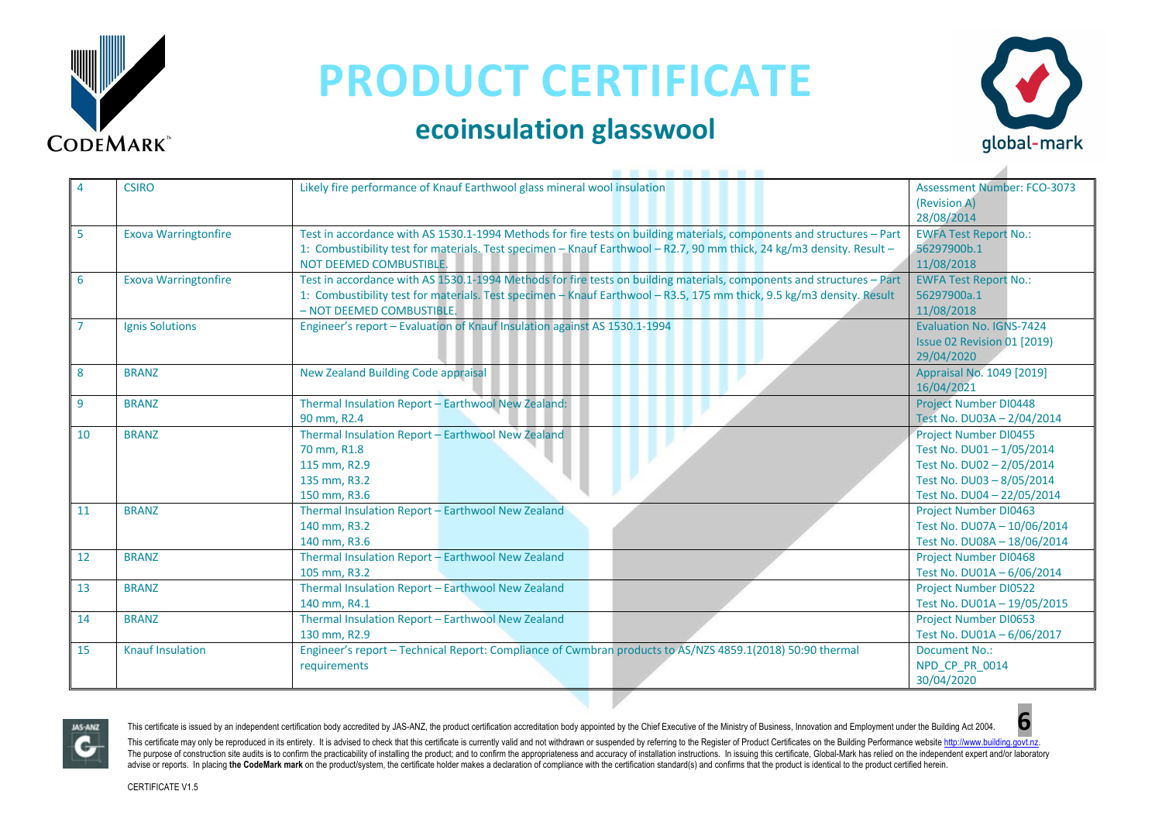

### **ecoinsulation glasswool**



|    | <b>CSIRO</b>                | Likely fire performance of Knauf Earthwool glass mineral wool insulation                                              | <b>Assessment Number: FCO-3073</b> |
|----|-----------------------------|-----------------------------------------------------------------------------------------------------------------------|------------------------------------|
|    |                             |                                                                                                                       | (Revision A)                       |
|    |                             |                                                                                                                       | 28/08/2014                         |
| 5  | <b>Exova Warringtonfire</b> | Test in accordance with AS 1530.1-1994 Methods for fire tests on building materials, components and structures - Part | <b>EWFA Test Report No.:</b>       |
|    |                             | 1: Combustibility test for materials. Test specimen - Knauf Earthwool - R2.7, 90 mm thick, 24 kg/m3 density. Result - | 56297900b.1                        |
|    |                             | NOT DEEMED COMBUSTIBLE.                                                                                               | 11/08/2018                         |
|    | <b>Exova Warringtonfire</b> | Test in accordance with AS 1530.1-1994 Methods for fire tests on building materials, components and structures - Part | <b>EWFA Test Report No.:</b>       |
| 6  |                             |                                                                                                                       |                                    |
|    |                             | 1: Combustibility test for materials. Test specimen - Knauf Earthwool - R3.5, 175 mm thick, 9.5 kg/m3 density. Result | 56297900a.1                        |
|    |                             | - NOT DEEMED COMBUSTIBLE.                                                                                             | 11/08/2018                         |
|    | <b>Ignis Solutions</b>      | Engineer's report - Evaluation of Knauf Insulation against AS 1530.1-1994                                             | Evaluation No. IGNS-7424           |
|    |                             |                                                                                                                       | Issue 02 Revision 01 [2019]        |
|    |                             |                                                                                                                       | 29/04/2020                         |
| 8  | <b>BRANZ</b>                | <b>New Zealand Building Code appraisal</b>                                                                            | Appraisal No. 1049 [2019]          |
|    |                             |                                                                                                                       | 16/04/2021                         |
| 9  | <b>BRANZ</b>                | Thermal Insulation Report - Earthwool New Zealand:                                                                    | <b>Project Number DI0448</b>       |
|    |                             | 90 mm, R2.4                                                                                                           | Test No. DU03A - 2/04/2014         |
| 10 | <b>BRANZ</b>                | Thermal Insulation Report - Earthwool New Zealand                                                                     | <b>Project Number DI0455</b>       |
|    |                             | 70 mm, R1.8                                                                                                           | Test No. DU01-1/05/2014            |
|    |                             | 115 mm, R2.9                                                                                                          | Test No. DU02-2/05/2014            |
|    |                             | 135 mm, R3.2                                                                                                          | Test No. DU03-8/05/2014            |
|    |                             | 150 mm, R3.6                                                                                                          | Test No. DU04 - 22/05/2014         |
| 11 | <b>BRANZ</b>                | Thermal Insulation Report - Earthwool New Zealand                                                                     | <b>Project Number DI0463</b>       |
|    |                             | 140 mm, R3.2                                                                                                          | Test No. DU07A - 10/06/2014        |
|    |                             | 140 mm, R3.6                                                                                                          | Test No. DU08A - 18/06/2014        |
| 12 | <b>BRANZ</b>                | Thermal Insulation Report - Earthwool New Zealand                                                                     | <b>Project Number DI0468</b>       |
|    |                             | 105 mm, R3.2                                                                                                          | Test No. DU01A - 6/06/2014         |
| 13 | <b>BRANZ</b>                | Thermal Insulation Report - Earthwool New Zealand                                                                     | <b>Project Number DI0522</b>       |
|    |                             | 140 mm, R4.1                                                                                                          | Test No. DU01A - 19/05/2015        |
| 14 | <b>BRANZ</b>                | Thermal Insulation Report - Earthwool New Zealand                                                                     | <b>Project Number DI0653</b>       |
|    |                             | 130 mm, R2.9                                                                                                          | Test No. DU01A-6/06/2017           |
| 15 | <b>Knauf Insulation</b>     | Engineer's report - Technical Report: Compliance of Cwmbran products to AS/NZS 4859.1(2018) 50:90 thermal             | Document No.:                      |
|    |                             | requirements                                                                                                          | NPD CP PR 0014                     |
|    |                             |                                                                                                                       | 30/04/2020                         |



This certificate is issued by an independent certification body accredited by JAS-ANZ, the product certification accreditation body appointed by the Chief Executive of the Ministry of Business, Innovation and Employment un